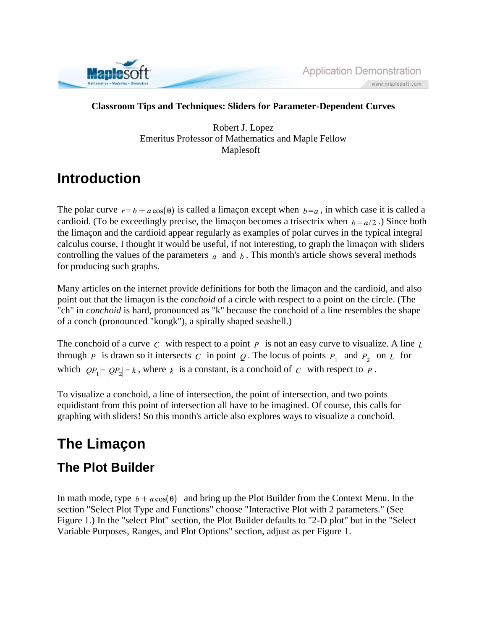

Application Demonstration www.maplesoft.com

#### **Classroom Tips and Techniques: Sliders for Parameter-Dependent Curves**

Robert J. Lopez Emeritus Professor of Mathematics and Maple Fellow Maplesoft

# **Introduction**

The polar curve  $r = b + a \cos(\theta)$  is called a limaçon except when  $b = a$ , in which case it is called a cardioid. (To be exceedingly precise, the limaçon becomes a trisectrix when  $b = a/2$ .) Since both the limaçon and the cardioid appear regularly as examples of polar curves in the typical integral calculus course, I thought it would be useful, if not interesting, to graph the limaçon with sliders controlling the values of the parameters  $\alpha$  and  $\beta$ . This month's article shows several methods for producing such graphs.

Many articles on the internet provide definitions for both the limaçon and the cardioid, and also point out that the limaçon is the *conchoid* of a circle with respect to a point on the circle. (The "ch" in *conchoid* is hard, pronounced as "k" because the conchoid of a line resembles the shape of a conch (pronounced "kongk"), a spirally shaped seashell.)

The conchoid of a curve  $C$  with respect to a point  $P$  is not an easy curve to visualize. A line  $L$ through p is drawn so it intersects c in point Q. The locus of points  $P_1$  and  $P_2$  on L for which  $|QP_1| = |QP_2| = k$ , where k is a constant, is a conchoid of C with respect to P.

To visualize a conchoid, a line of intersection, the point of intersection, and two points equidistant from this point of intersection all have to be imagined. Of course, this calls for graphing with sliders! So this month's article also explores ways to visualize a conchoid.

# **The Limaçon**

#### **The Plot Builder**

In math mode, type  $b + a \cos(\theta)$  and bring up the Plot Builder from the Context Menu. In the section "Select Plot Type and Functions" choose "Interactive Plot with 2 parameters." (See Figure 1.) In the "select Plot" section, the Plot Builder defaults to "2-D plot" but in the "Select Variable Purposes, Ranges, and Plot Options" section, adjust as per Figure 1.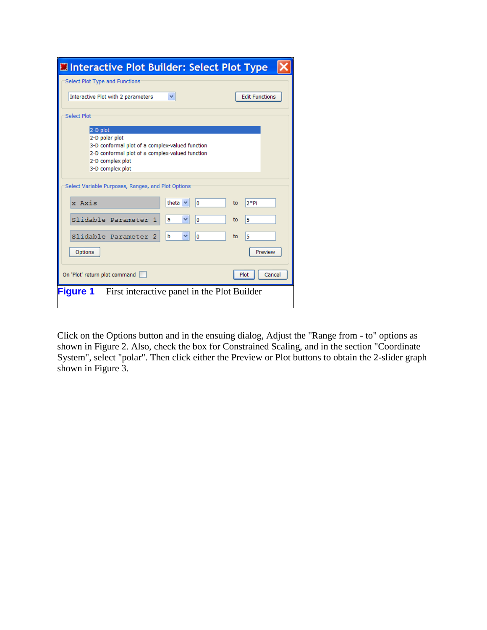| Interactive Plot Builder: Select Plot Type                                                                                                                               |                          |                       |
|--------------------------------------------------------------------------------------------------------------------------------------------------------------------------|--------------------------|-----------------------|
| Select Plot Type and Functions                                                                                                                                           |                          |                       |
| Interactive Plot with 2 parameters                                                                                                                                       | ٧                        | <b>Edit Functions</b> |
| <b>Select Plot</b>                                                                                                                                                       |                          |                       |
| 2-D plot<br>2-D polar plot<br>3-D conformal plot of a complex-valued function<br>2-D conformal plot of a complex-valued function<br>2-D complex plot<br>3-D complex plot |                          |                       |
| Select Variable Purposes, Ranges, and Plot Options                                                                                                                       |                          |                       |
| x Axis                                                                                                                                                                   | theta $\vee$<br>$\bf{0}$ | 2*Pi<br>to            |
| Slidable Parameter<br>1.                                                                                                                                                 | ٧<br>0<br>а              | 5<br>to               |
| Slidable Parameter<br>2                                                                                                                                                  | b<br>×<br>0              | 5<br>to               |
| Options                                                                                                                                                                  |                          | Preview               |
| On 'Plot' return plot command                                                                                                                                            |                          | Plot<br>Cancel        |
| <b>Figure 1</b> First interactive panel in the Plot Builder                                                                                                              |                          |                       |

Click on the Options button and in the ensuing dialog, Adjust the "Range from - to" options as shown in Figure 2. Also, check the box for Constrained Scaling, and in the section "Coordinate System", select "polar". Then click either the Preview or Plot buttons to obtain the 2-slider graph shown in Figure 3.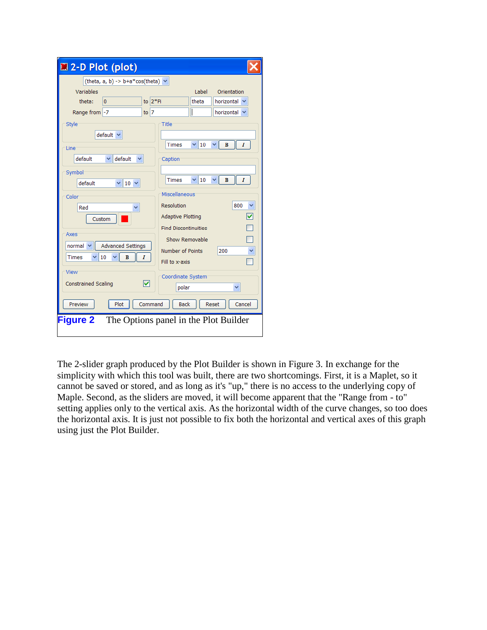| 2-D Plot (plot)                          |                                         |
|------------------------------------------|-----------------------------------------|
| (theta, $a, b$ ) -> $b + a * cos(theta)$ |                                         |
| Variables                                | Label<br>Orientation                    |
| to $2^*$ Pi<br>theta:<br>0               | theta<br>horizontal                     |
| Range from -7<br>to $ 7 $                | horizontal                              |
| Style                                    | Title                                   |
| default \                                |                                         |
| Line                                     | 10<br>I<br><b>Times</b><br>$\mathbf{B}$ |
| default<br>default                       | Caption                                 |
| Symbol                                   |                                         |
| default<br>$\vee$ 10 $\vee$              | B<br>I<br><b>Times</b><br>10            |
| Color                                    | Miscellaneous                           |
| Red                                      | Resolution<br>800                       |
| Custom                                   | ᢦ<br><b>Adaptive Plotting</b>           |
|                                          | <b>Find Discontinuities</b>             |
| Axes                                     | Show Removable                          |
| <b>Advanced Settings</b><br>normal       | 200<br>Number of Points                 |
| B<br>10<br><b>Times</b><br>I             | Fill to x-axis                          |
| View                                     | Coordinate System                       |
| ☑<br><b>Constrained Scaling</b>          | polar                                   |
|                                          |                                         |
| Preview<br>Command<br>Plot               | <b>Back</b><br>Reset<br>Cancel          |
| <b>Figure 2</b>                          | The Options panel in the Plot Builder   |
|                                          |                                         |

The 2-slider graph produced by the Plot Builder is shown in Figure 3. In exchange for the simplicity with which this tool was built, there are two shortcomings. First, it is a Maplet, so it cannot be saved or stored, and as long as it's "up," there is no access to the underlying copy of Maple. Second, as the sliders are moved, it will become apparent that the "Range from - to" setting applies only to the vertical axis. As the horizontal width of the curve changes, so too does the horizontal axis. It is just not possible to fix both the horizontal and vertical axes of this graph using just the Plot Builder.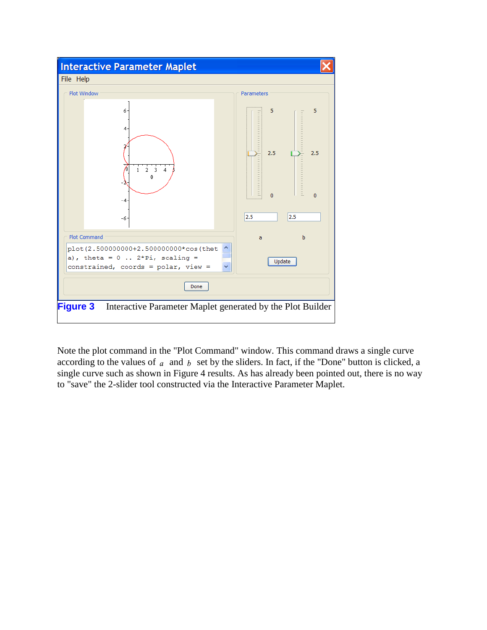

Note the plot command in the "Plot Command" window. This command draws a single curve according to the values of  $a$  and  $b$  set by the sliders. In fact, if the "Done" button is clicked, a single curve such as shown in Figure 4 results. As has already been pointed out, there is no way to "save" the 2-slider tool constructed via the Interactive Parameter Maplet.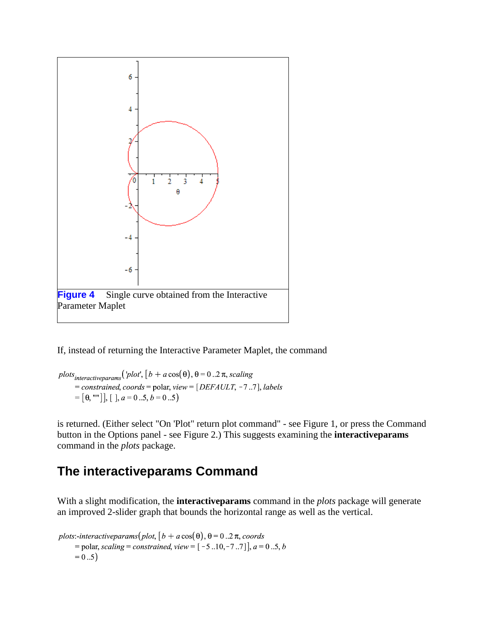

If, instead of returning the Interactive Parameter Maplet, the command

plots<sub>interactiveparams</sub> ('plot',  $[b + a \cos(\theta), \theta = 0..2 \pi, scaling$ = constrained, coords = polar, view =  $[DEFAULT, -7..7]$ , labels  $=[\theta,$  ""], [],  $a=0...5, b=0...5$ )

is returned. (Either select "On 'Plot" return plot command" - see Figure 1, or press the Command button in the Options panel - see Figure 2.) This suggests examining the **interactiveparams** command in the *plots* package.

### **The interactiveparams Command**

With a slight modification, the **interactiveparams** command in the *plots* package will generate an improved 2-slider graph that bounds the horizontal range as well as the vertical.

plots:-interactiveparams(plot,  $[b + a \cos(\theta), \theta = 0..2 \pi,$  coords = polar, scaling = constrained, view =  $[-5..10,-7..7]$ ,  $a = 0..5, b$  $= 0.5$ )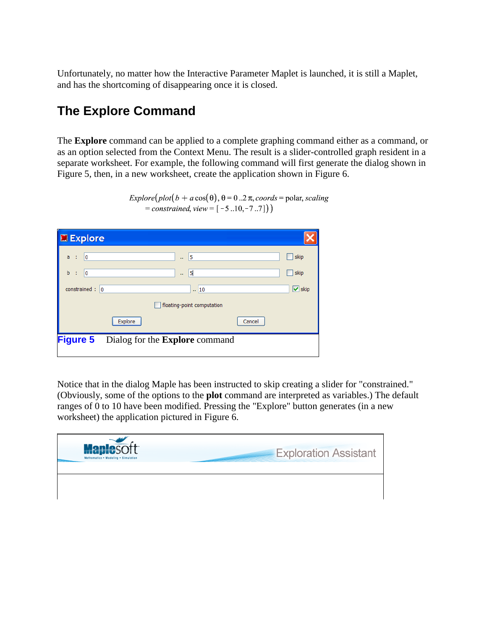Unfortunately, no matter how the Interactive Parameter Maplet is launched, it is still a Maplet, and has the shortcoming of disappearing once it is closed.

## **The Explore Command**

The **Explore** command can be applied to a complete graphing command either as a command, or as an option selected from the Context Menu. The result is a slider-controlled graph resident in a separate worksheet. For example, the following command will first generate the dialog shown in Figure 5, then, in a new worksheet, create the application shown in Figure 6.

| Explore                                                  |                            |        |                      |
|----------------------------------------------------------|----------------------------|--------|----------------------|
| 0<br>a<br>÷                                              | 5<br>v.                    |        | skip                 |
| b<br>0<br>÷                                              | 5<br>ш                     |        | skip                 |
| constrained : $ 0 $                                      | $\frac{1}{2}$ 10           |        | $\triangledown$ skip |
|                                                          | floating-point computation |        |                      |
| Explore                                                  |                            | Cancel |                      |
| <b>Figure 5</b><br>Dialog for the <b>Explore</b> command |                            |        |                      |

 $Explore(plot(b + a cos(\theta), \theta = 0..2 \pi, coords = polar, scaling)$  $=$  constrained, view =  $[-5..10,-7..7])$ 

Notice that in the dialog Maple has been instructed to skip creating a slider for "constrained." (Obviously, some of the options to the **plot** command are interpreted as variables.) The default ranges of 0 to 10 have been modified. Pressing the "Explore" button generates (in a new worksheet) the application pictured in Figure 6.

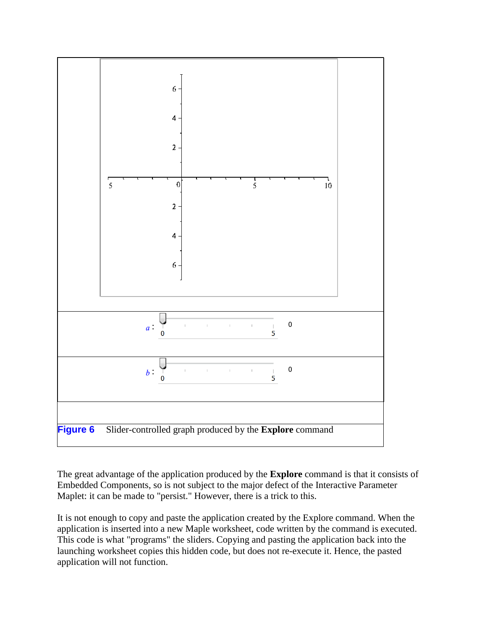

The great advantage of the application produced by the **Explore** command is that it consists of Embedded Components, so is not subject to the major defect of the Interactive Parameter Maplet: it can be made to "persist." However, there is a trick to this.

It is not enough to copy and paste the application created by the Explore command. When the application is inserted into a new Maple worksheet, code written by the command is executed. This code is what "programs" the sliders. Copying and pasting the application back into the launching worksheet copies this hidden code, but does not re-execute it. Hence, the pasted application will not function.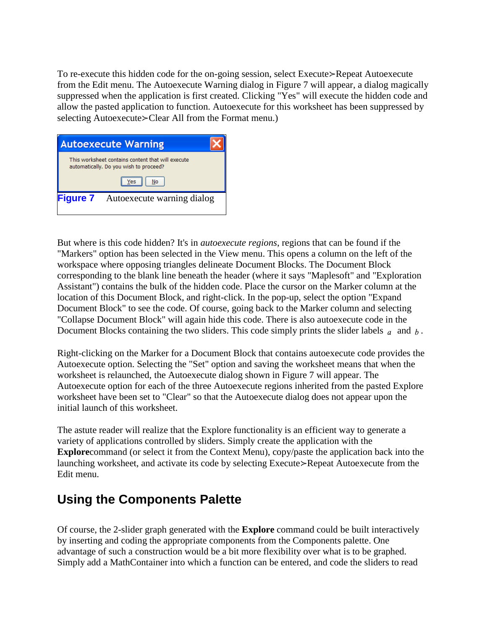To re-execute this hidden code for the on-going session, select Execute≻Repeat Autoexecute from the Edit menu. The Autoexecute Warning dialog in Figure 7 will appear, a dialog magically suppressed when the application is first created. Clicking "Yes" will execute the hidden code and allow the pasted application to function. Autoexecute for this worksheet has been suppressed by selecting Autoexecute≻Clear All from the Format menu.)

| This worksheet contains content that will execute<br>automatically. Do you wish to proceed?<br>No<br>Yes |
|----------------------------------------------------------------------------------------------------------|
|                                                                                                          |
|                                                                                                          |
| <b>Figure 7</b> Autoexecute warning dialog                                                               |

But where is this code hidden? It's in *autoexecute regions*, regions that can be found if the "Markers" option has been selected in the View menu. This opens a column on the left of the workspace where opposing triangles delineate Document Blocks. The Document Block corresponding to the blank line beneath the header (where it says "Maplesoft" and "Exploration Assistant") contains the bulk of the hidden code. Place the cursor on the Marker column at the location of this Document Block, and right-click. In the pop-up, select the option "Expand Document Block" to see the code. Of course, going back to the Marker column and selecting "Collapse Document Block" will again hide this code. There is also autoexecute code in the Document Blocks containing the two sliders. This code simply prints the slider labels  $a$  and  $b$ .

Right-clicking on the Marker for a Document Block that contains autoexecute code provides the Autoexecute option. Selecting the "Set" option and saving the worksheet means that when the worksheet is relaunched, the Autoexecute dialog shown in Figure 7 will appear. The Autoexecute option for each of the three Autoexecute regions inherited from the pasted Explore worksheet have been set to "Clear" so that the Autoexecute dialog does not appear upon the initial launch of this worksheet.

The astute reader will realize that the Explore functionality is an efficient way to generate a variety of applications controlled by sliders. Simply create the application with the **Explore**command (or select it from the Context Menu), copy/paste the application back into the launching worksheet, and activate its code by selecting Execute≻Repeat Autoexecute from the Edit menu.

### **Using the Components Palette**

Of course, the 2-slider graph generated with the **Explore** command could be built interactively by inserting and coding the appropriate components from the Components palette. One advantage of such a construction would be a bit more flexibility over what is to be graphed. Simply add a MathContainer into which a function can be entered, and code the sliders to read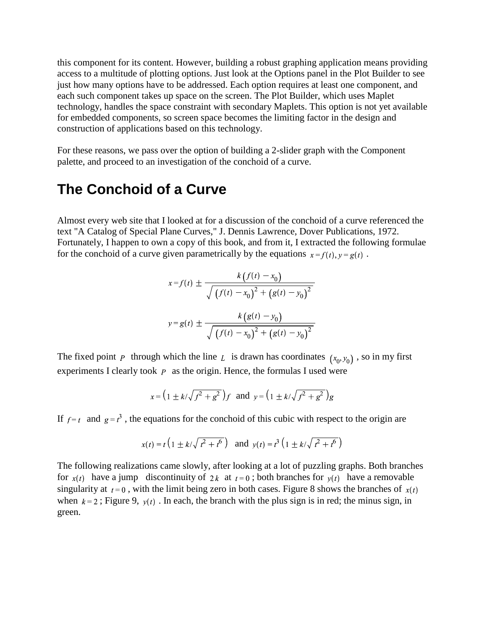this component for its content. However, building a robust graphing application means providing access to a multitude of plotting options. Just look at the Options panel in the Plot Builder to see just how many options have to be addressed. Each option requires at least one component, and each such component takes up space on the screen. The Plot Builder, which uses Maplet technology, handles the space constraint with secondary Maplets. This option is not yet available for embedded components, so screen space becomes the limiting factor in the design and construction of applications based on this technology.

For these reasons, we pass over the option of building a 2-slider graph with the Component palette, and proceed to an investigation of the conchoid of a curve.

#### **The Conchoid of a Curve**

Almost every web site that I looked at for a discussion of the conchoid of a curve referenced the text "A Catalog of Special Plane Curves," J. Dennis Lawrence, Dover Publications, 1972. Fortunately, I happen to own a copy of this book, and from it, I extracted the following formulae for the conchoid of a curve given parametrically by the equations  $x = f(t)$ ,  $y = g(t)$ .

$$
x = f(t) \pm \frac{k(f(t) - x_0)}{\sqrt{(f(t) - x_0)^2 + (g(t) - y_0)^2}}
$$

$$
y = g(t) \pm \frac{k(g(t) - y_0)}{\sqrt{(f(t) - x_0)^2 + (g(t) - y_0)^2}}
$$

The fixed point P through which the line L is drawn has coordinates  $(x_0, y_0)$ , so in my first experiments I clearly took  $p$  as the origin. Hence, the formulas I used were

$$
x = (1 \pm k/\sqrt{f^2 + g^2})f
$$
 and  $y = (1 \pm k/\sqrt{f^2 + g^2})g$ 

If  $f = t$  and  $g = t^3$ , the equations for the conchoid of this cubic with respect to the origin are

$$
x(t) = t \left( 1 \pm k/\sqrt{t^2 + t^6} \right)
$$
 and  $y(t) = t^3 \left( 1 \pm k/\sqrt{t^2 + t^6} \right)$ 

The following realizations came slowly, after looking at a lot of puzzling graphs. Both branches for  $x(t)$  have a jump discontinuity of 2k at  $t=0$ ; both branches for  $y(t)$  have a removable singularity at  $t = 0$ , with the limit being zero in both cases. Figure 8 shows the branches of  $x(t)$ when  $k = 2$ ; Figure 9,  $v(t)$ . In each, the branch with the plus sign is in red; the minus sign, in green.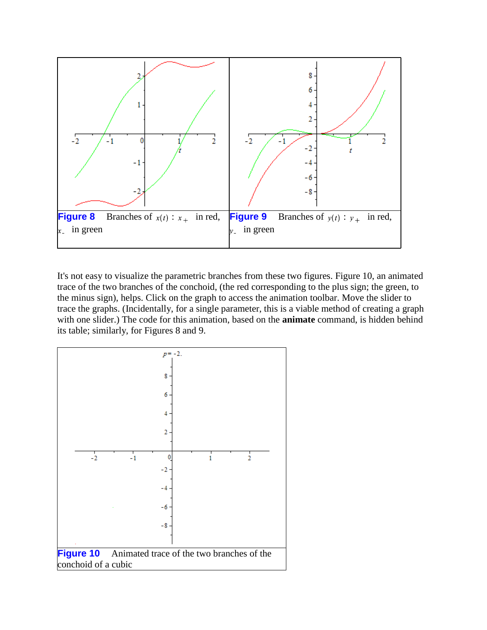

It's not easy to visualize the parametric branches from these two figures. Figure 10, an animated trace of the two branches of the conchoid, (the red corresponding to the plus sign; the green, to the minus sign), helps. Click on the graph to access the animation toolbar. Move the slider to trace the graphs. (Incidentally, for a single parameter, this is a viable method of creating a graph with one slider.) The code for this animation, based on the **animate** command, is hidden behind its table; similarly, for Figures 8 and 9.

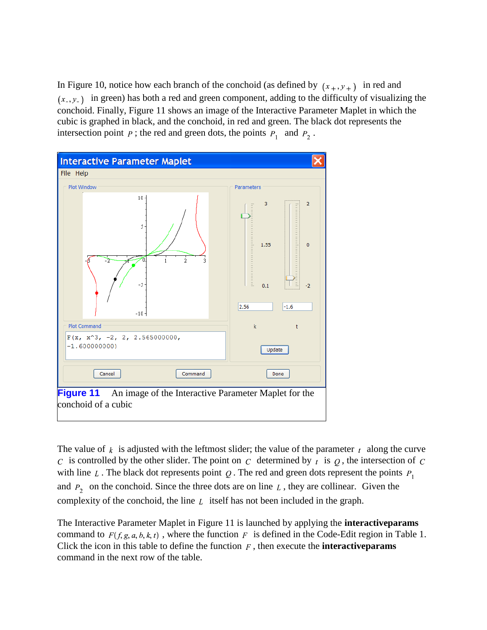In Figure 10, notice how each branch of the conchoid (as defined by  $(x_+, y_+)$  in red and  $(x_1, y_1)$  in green) has both a red and green component, adding to the difficulty of visualizing the conchoid. Finally, Figure 11 shows an image of the Interactive Parameter Maplet in which the cubic is graphed in black, and the conchoid, in red and green. The black dot represents the intersection point  $p$ ; the red and green dots, the points  $P_1$  and  $P_2$ .



The value of  $k$  is adjusted with the leftmost slider; the value of the parameter  $t_1$  along the curve c is controlled by the other slider. The point on c determined by  $t$  is  $\varrho$ , the intersection of c with line  $L$ . The black dot represents point  $Q$ . The red and green dots represent the points  $P_1$ and  $P_2$  on the conchoid. Since the three dots are on line  $L$ , they are collinear. Given the complexity of the conchoid, the line  $L$  itself has not been included in the graph.

The Interactive Parameter Maplet in Figure 11 is launched by applying the **interactiveparams** command to  $F(f, g, a, b, k, t)$ , where the function F is defined in the Code-Edit region in Table 1. Click the icon in this table to define the function  $F$ , then execute the **interactive params** command in the next row of the table.